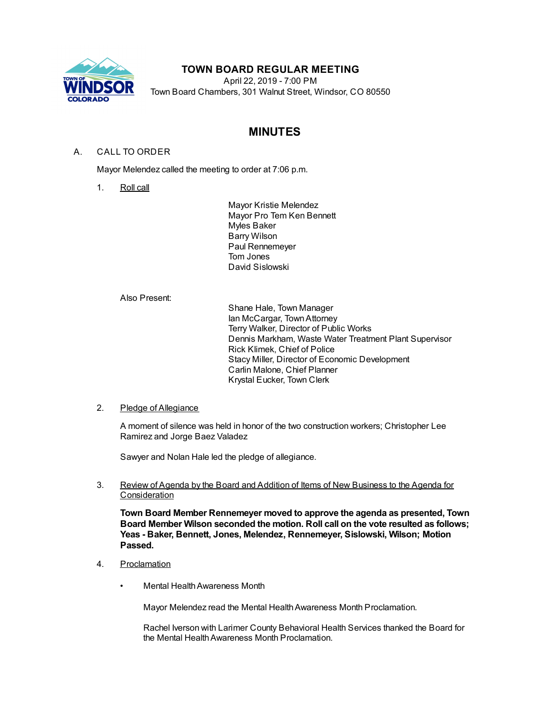

## **TOWN BOARD REGULAR MEETING**

April 22, 2019 - 7:00 PM Town Board Chambers, 301 Walnut Street, Windsor, CO 80550

# **MINUTES**

## A. CALL TO ORDER

Mayor Melendez called the meeting to order at 7:06 p.m.

1. Roll call

Mayor Kristie Melendez Mayor Pro Tem Ken Bennett Myles Baker Barry Wilson Paul Rennemeyer Tom Jones David Sislowski

Also Present:

Shane Hale, Town Manager Ian McCargar, TownAttorney Terry Walker, Director of Public Works Dennis Markham, Waste Water Treatment Plant Supervisor Rick Klimek, Chief of Police Stacy Miller, Director of Economic Development Carlin Malone, Chief Planner Krystal Eucker, Town Clerk

## 2. Pledge of Allegiance

A moment of silence was held in honor of the two construction workers; Christopher Lee Ramirez and Jorge Baez Valadez

Sawyer and Nolan Hale led the pledge of allegiance.

3. Review of Agenda by the Board and Addition of Items of New Business to the Agenda for Consideration

**Town Board Member Rennemeyer moved to approve the agenda as presented, Town Board Member Wilson seconded the motion. Roll call on the vote resulted as follows; Yeas - Baker, Bennett, Jones, Melendez, Rennemeyer, Sislowski, Wilson; Motion Passed.**

- 4. Proclamation
	- **Mental Health Awareness Month**

Mayor Melendez read the Mental Health Awareness Month Proclamation.

Rachel Iverson with Larimer County Behavioral Health Services thanked the Board for the Mental Health Awareness Month Proclamation.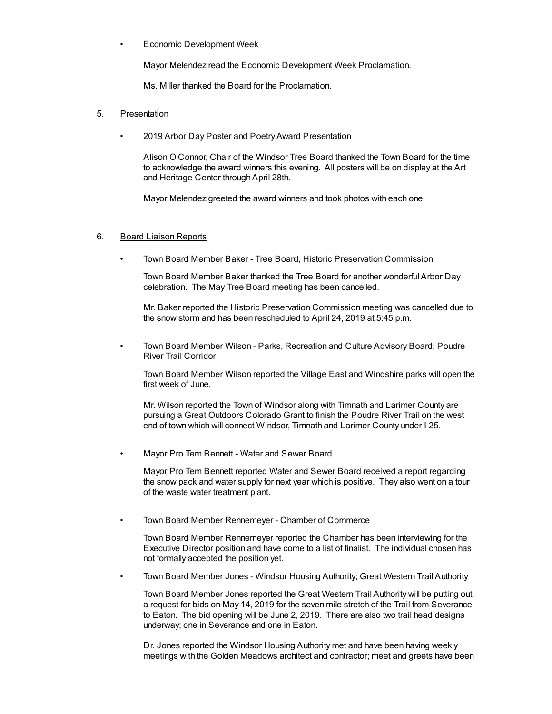• Economic Development Week

Mayor Melendez read the Economic Development Week Proclamation.

Ms. Miller thanked the Board for the Proclamation.

### 5. Presentation

• 2019 Arbor Day Poster and PoetryAward Presentation

Alison O'Connor, Chair of the Windsor Tree Board thanked the Town Board for the time to acknowledge the award winners this evening. All posters will be on display at the Art and Heritage Center throughApril 28th.

Mayor Melendez greeted the award winners and took photos with each one.

#### 6. Board Liaison Reports

• Town Board Member Baker - Tree Board, Historic Preservation Commission

Town Board Member Baker thanked the Tree Board for another wonderful Arbor Day celebration. The May Tree Board meeting has been cancelled.

Mr. Baker reported the Historic Preservation Commission meeting was cancelled due to the snow storm and has been rescheduled to April 24, 2019 at 5:45 p.m.

• Town Board Member Wilson - Parks, Recreation and Culture Advisory Board; Poudre River Trail Corridor

Town Board Member Wilson reported the Village East and Windshire parks will open the first week of June.

Mr. Wilson reported the Town of Windsor along with Timnath and Larimer County are pursuing a Great Outdoors Colorado Grant to finish the Poudre River Trail on the west end of town which will connect Windsor, Timnath and Larimer County under I-25.

• Mayor Pro Tem Bennett - Water and Sewer Board

Mayor Pro Tem Bennett reported Water and Sewer Board received a report regarding the snow pack and water supply for next year which is positive. They also went on a tour of the waste water treatment plant.

• Town Board Member Rennemeyer - Chamber of Commerce

Town Board Member Rennemeyer reported the Chamber has been interviewing for the Executive Director position and have come to a list of finalist. The individual chosen has not formally accepted the position yet.

• Town Board Member Jones - Windsor Housing Authority; Great Western Trail Authority

Town Board Member Jones reported the Great Western Trail Authority will be putting out a request for bids on May 14, 2019 for the seven mile stretch of the Trail from Severance to Eaton. The bid opening will be June 2, 2019. There are also two trail head designs underway; one in Severance and one in Eaton.

Dr. Jones reported the Windsor Housing Authority met and have been having weekly meetings with the Golden Meadows architect and contractor; meet and greets have been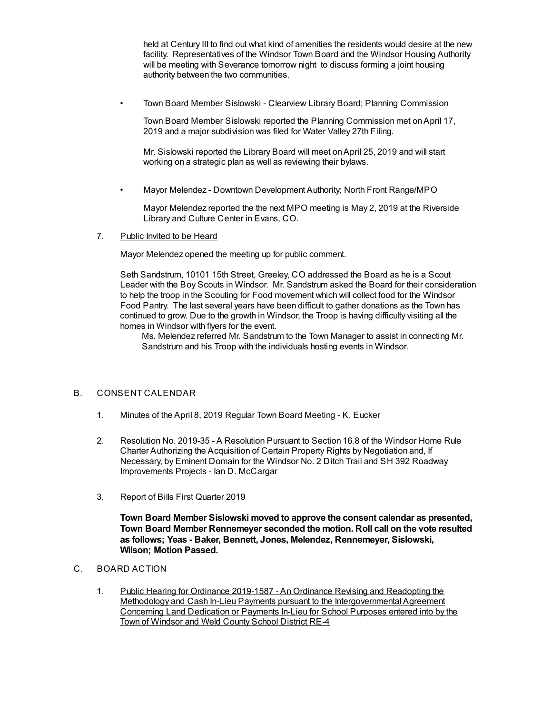held at Century III to find out what kind of amenities the residents would desire at the new facility. Representatives of the Windsor Town Board and the Windsor Housing Authority will be meeting with Severance tomorrow night to discuss forming a joint housing authority between the two communities.

• Town Board Member Sislowski - Clearview Library Board; Planning Commission

Town Board Member Sislowski reported the Planning Commission met on April 17, 2019 and a major subdivision was filed for Water Valley 27th Filing.

Mr. Sislowski reported the Library Board will meet onApril 25, 2019 and will start working on a strategic plan as well as reviewing their bylaws.

• Mayor Melendez - Downtown Development Authority; North Front Range/MPO

Mayor Melendez reported the the next MPO meeting is May 2, 2019 at the Riverside Library and Culture Center in Evans, CO.

7. Public Invited to be Heard

Mayor Melendez opened the meeting up for public comment.

Seth Sandstrum, 10101 15th Street, Greeley, CO addressed the Board as he is a Scout Leader with the Boy Scouts in Windsor. Mr. Sandstrum asked the Board for their consideration to help the troop in the Scouting for Food movement which will collect food for the Windsor Food Pantry. The last several years have been difficult to gather donations as the Town has continued to grow. Due to the growth in Windsor, the Troop is having difficulty visiting all the homes in Windsor with flyers for the event.

Ms. Melendez referred Mr. Sandstrum to the Town Manager to assist in connecting Mr. Sandstrum and his Troop with the individuals hosting events in Windsor.

### B. CONSENT CALENDAR

- 1. Minutes of the April 8, 2019 Regular Town Board Meeting K. Eucker
- 2. Resolution No. 2019-35 A Resolution Pursuant to Section 16.8 of the Windsor Home Rule Charter Authorizing the Acquisition of Certain Property Rights by Negotiation and, If Necessary, by Eminent Domain for the Windsor No. 2 Ditch Trail and SH 392 Roadway Improvements Projects - Ian D. McCargar
- 3. Report of Bills First Quarter 2019

**Town Board Member Sislowski moved to approve the consent calendar as presented, Town Board Member Rennemeyer seconded the motion. Roll call on the vote resulted as follows; Yeas - Baker, Bennett, Jones, Melendez, Rennemeyer, Sislowski, Wilson; Motion Passed.**

- C. BOARD ACTION
	- 1. Public Hearing for Ordinance 2019-1587 An Ordinance Revising and Readopting the Methodology and Cash In-Lieu Payments pursuant to the Intergovernmental Agreement Concerning Land Dedication or Payments In-Lieu for School Purposes entered into by the Town of Windsor and Weld County School District RE-4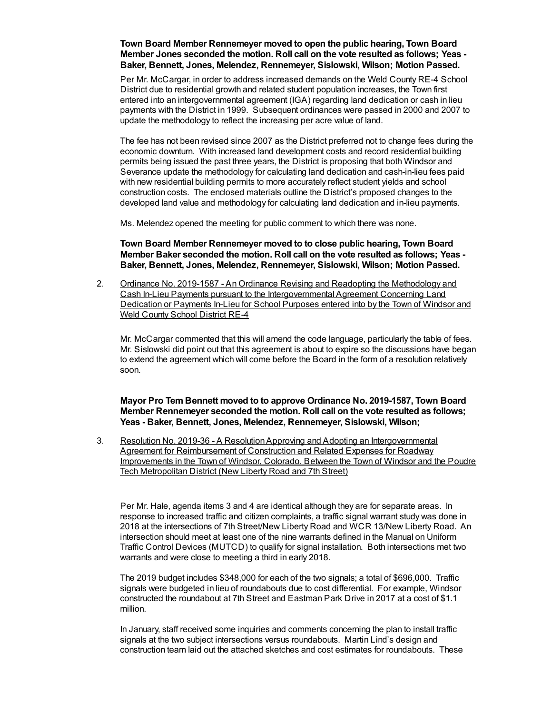## **Town Board Member Rennemeyer moved to open the public hearing, Town Board Member Jones seconded the motion. Roll call on the vote resulted as follows; Yeas - Baker, Bennett, Jones, Melendez, Rennemeyer, Sislowski, Wilson; Motion Passed.**

Per Mr. McCargar, in order to address increased demands on the Weld County RE-4 School District due to residential growth and related student population increases, the Town first entered into an intergovernmental agreement (IGA) regarding land dedication or cash in lieu payments with the District in 1999. Subsequent ordinances were passed in 2000 and 2007 to update the methodology to reflect the increasing per acre value of land.

The fee has not been revised since 2007 as the District preferred not to change fees during the economic downturn. With increased land development costs and record residential building permits being issued the past three years, the District is proposing that both Windsor and Severance update the methodology for calculating land dedication and cash-in-lieu fees paid with new residential building permits to more accurately reflect student yields and school construction costs. The enclosed materials outline the District's proposed changes to the developed land value and methodology for calculating land dedication and in-lieu payments.

Ms. Melendez opened the meeting for public comment to which there was none.

**Town Board Member Rennemeyer moved to to close public hearing, Town Board Member Baker seconded the motion. Roll call on the vote resulted as follows; Yeas - Baker, Bennett, Jones, Melendez, Rennemeyer, Sislowski, Wilson; Motion Passed.**

2. Ordinance No. 2019-1587 - An Ordinance Revising and Readopting the Methodology and Cash In-Lieu Payments pursuant to the Intergovernmental Agreement Concerning Land Dedication or Payments In-Lieu for School Purposes entered into by the Town of Windsor and Weld County School District RE-4

Mr. McCargar commented that this will amend the code language, particularly the table of fees. Mr. Sislowski did point out that this agreement is about to expire so the discussions have began to extend the agreement which will come before the Board in the form of a resolution relatively soon.

**Mayor Pro Tem Bennett moved to to approve Ordinance No. 2019-1587, Town Board Member Rennemeyer seconded the motion. Roll call on the vote resulted as follows; Yeas - Baker, Bennett, Jones, Melendez, Rennemeyer, Sislowski, Wilson;**

3. Resolution No. 2019-36 - A ResolutionApproving and Adopting an Intergovernmental Agreement for Reimbursement of Construction and Related Expenses for Roadway Improvements in the Town of Windsor, Colorado, Between the Town of Windsor and the Poudre Tech Metropolitan District (New Liberty Road and 7th Street)

Per Mr. Hale, agenda items 3 and 4 are identical although they are for separate areas. In response to increased traffic and citizen complaints, a traffic signal warrant study was done in 2018 at the intersections of 7th Street/New Liberty Road and WCR 13/New Liberty Road. An intersection should meet at least one of the nine warrants defined in the Manual on Uniform Traffic Control Devices (MUTCD) to qualify for signal installation. Both intersections met two warrants and were close to meeting a third in early 2018.

The 2019 budget includes \$348,000 for each of the two signals; a total of \$696,000. Traffic signals were budgeted in lieu of roundabouts due to cost differential. For example, Windsor constructed the roundabout at 7th Street and Eastman Park Drive in 2017 at a cost of \$1.1 million.

In January, staff received some inquiries and comments concerning the plan to install traffic signals at the two subject intersections versus roundabouts. Martin Lind's design and construction team laid out the attached sketches and cost estimates for roundabouts. These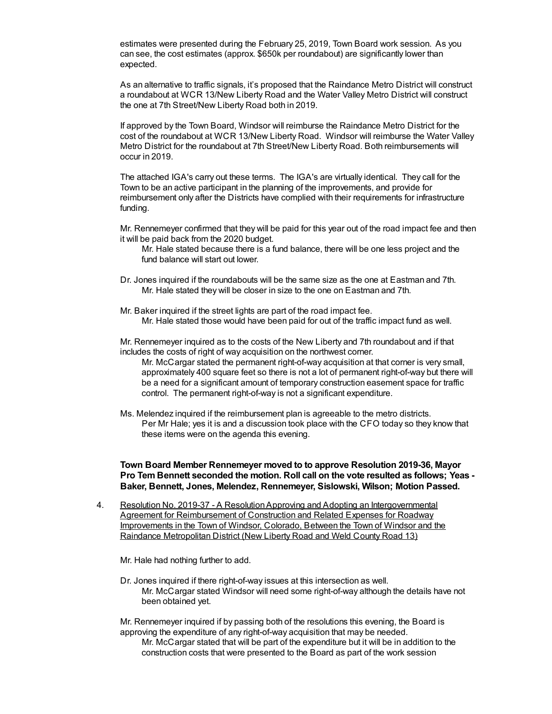estimates were presented during the February 25, 2019, Town Board work session. As you can see, the cost estimates (approx. \$650k per roundabout) are significantly lower than expected.

As an alternative to traffic signals, it's proposed that the Raindance Metro District will construct a roundabout at WCR 13/New Liberty Road and the Water Valley Metro District will construct the one at 7th Street/New Liberty Road both in 2019.

If approved by the Town Board, Windsor will reimburse the Raindance Metro District for the cost of the roundabout at WCR 13/New Liberty Road. Windsor will reimburse the Water Valley Metro District for the roundabout at 7th Street/New Liberty Road. Both reimbursements will occur in 2019.

The attached IGA's carry out these terms. The IGA's are virtually identical. They call for the Town to be an active participant in the planning of the improvements, and provide for reimbursement only after the Districts have complied with their requirements for infrastructure funding.

Mr. Rennemeyer confirmed that they will be paid for this year out of the road impact fee and then it will be paid back from the 2020 budget.

- Mr. Hale stated because there is a fund balance, there will be one less project and the fund balance will start out lower.
- Dr. Jones inquired if the roundabouts will be the same size as the one at Eastman and 7th. Mr. Hale stated they will be closer in size to the one on Eastman and 7th.
- Mr. Baker inquired if the street lights are part of the road impact fee. Mr. Hale stated those would have been paid for out of the traffic impact fund as well.

Mr. Rennemeyer inquired as to the costs of the New Liberty and 7th roundabout and if that includes the costs of right of way acquisition on the northwest corner.

Mr. McCargar stated the permanent right-of-way acquisition at that corner is very small, approximately 400 square feet so there is not a lot of permanent right-of-way but there will be a need for a significant amount of temporary construction easement space for traffic control. The permanent right-of-way is not a significant expenditure.

Ms. Melendez inquired if the reimbursement plan is agreeable to the metro districts. Per Mr Hale; yes it is and a discussion took place with the CFO today so they know that these items were on the agenda this evening.

**Town Board Member Rennemeyer moved to to approve Resolution 2019-36, Mayor Pro Tem Bennett seconded the motion. Roll call on the vote resulted as follows; Yeas - Baker, Bennett, Jones, Melendez, Rennemeyer, Sislowski, Wilson; Motion Passed.**

4. Resolution No. 2019-37 - A ResolutionApproving and Adopting an Intergovernmental Agreement for Reimbursement of Construction and Related Expenses for Roadway Improvements in the Town of Windsor, Colorado, Between the Town of Windsor and the Raindance Metropolitan District (New Liberty Road and Weld County Road 13)

Mr. Hale had nothing further to add.

Dr. Jones inquired if there right-of-way issues at this intersection as well. Mr. McCargar stated Windsor will need some right-of-way although the details have not been obtained yet.

Mr. Rennemeyer inquired if by passing both of the resolutions this evening, the Board is approving the expenditure of any right-of-way acquisition that may be needed.

Mr. McCargar stated that will be part of the expenditure but it will be in addition to the construction costs that were presented to the Board as part of the work session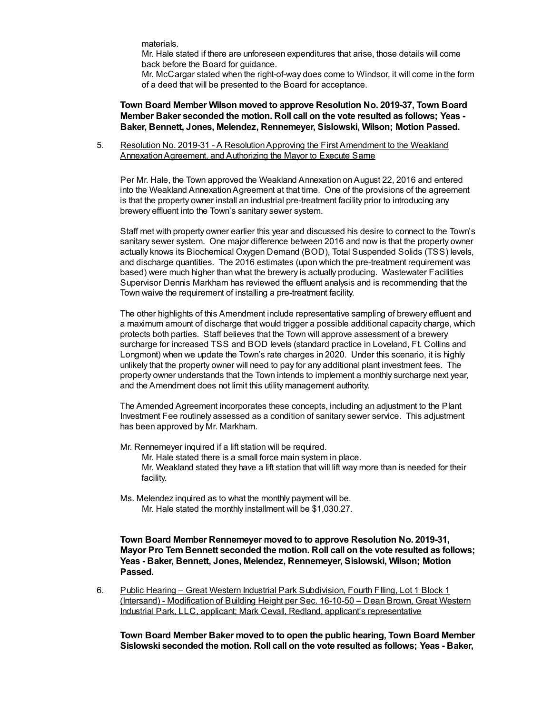materials.

Mr. Hale stated if there are unforeseen expenditures that arise, those details will come back before the Board for guidance.

Mr. McCargar stated when the right-of-way does come to Windsor, it will come in the form of a deed that will be presented to the Board for acceptance.

**Town Board Member Wilson moved to approve Resolution No. 2019-37, Town Board Member Baker seconded the motion. Roll call on the vote resulted as follows; Yeas - Baker, Bennett, Jones, Melendez, Rennemeyer, Sislowski, Wilson; Motion Passed.**

5. Resolution No. 2019-31 - A ResolutionApproving the First Amendment to the Weakland Annexation Agreement, and Authorizing the Mayor to Execute Same

Per Mr. Hale, the Town approved the Weakland Annexation on August 22, 2016 and entered into the Weakland Annexation Agreement at that time. One of the provisions of the agreement is that the property owner install an industrial pre-treatment facility prior to introducing any brewery effluent into the Town's sanitary sewer system.

Staff met with property owner earlier this year and discussed his desire to connect to the Town's sanitary sewer system. One major difference between 2016 and now is that the property owner actually knows its Biochemical Oxygen Demand (BOD), Total Suspended Solids (TSS) levels, and discharge quantities. The 2016 estimates (upon which the pre-treatment requirement was based) were much higher than what the brewery is actually producing. Wastewater Facilities Supervisor Dennis Markham has reviewed the effluent analysis and is recommending that the Town waive the requirement of installing a pre-treatment facility.

The other highlights of this Amendment include representative sampling of brewery effluent and a maximum amount of discharge that would trigger a possible additional capacity charge, which protects both parties. Staff believes that the Town will approve assessment of a brewery surcharge for increased TSS and BOD levels (standard practice in Loveland, Ft. Collins and Longmont) when we update the Town's rate charges in 2020. Under this scenario, it is highly unlikely that the property owner will need to pay for any additional plant investment fees. The property owner understands that the Town intends to implement a monthly surcharge next year, and the Amendment does not limit this utility management authority.

The Amended Agreement incorporates these concepts, including an adjustment to the Plant Investment Fee routinely assessed as a condition of sanitary sewer service. This adjustment has been approved by Mr. Markham.

Mr. Rennemeyer inquired if a lift station will be required.

Mr. Hale stated there is a small force main system in place.

Mr. Weakland stated they have a lift station that will lift way more than is needed for their facility.

Ms. Melendez inquired as to what the monthly payment will be. Mr. Hale stated the monthly installment will be \$1,030.27.

**Town Board Member Rennemeyer moved to to approve Resolution No. 2019-31, Mayor Pro Tem Bennett seconded the motion. Roll call on the vote resulted as follows; Yeas - Baker, Bennett, Jones, Melendez, Rennemeyer, Sislowski, Wilson; Motion Passed.**

6. Public Hearing – Great Western Industrial Park Subdivision, Fourth Flling, Lot 1 Block 1 (Intersand) - Modification of Building Height per Sec. 16-10-50 – Dean Brown, Great Western Industrial Park, LLC, applicant; Mark Cevall, Redland, applicant's representative

**Town Board Member Baker moved to to open the public hearing, Town Board Member Sislowski seconded the motion. Roll call on the vote resulted as follows; Yeas - Baker,**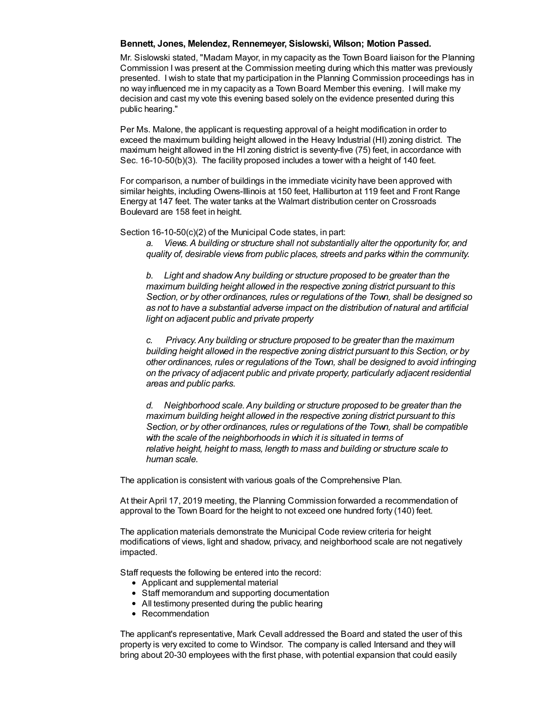### **Bennett, Jones, Melendez, Rennemeyer, Sislowski, Wilson; Motion Passed.**

Mr. Sislowski stated, "Madam Mayor, in my capacity as the Town Board liaison for the Planning Commission I was present at the Commission meeting during which this matter was previously presented. I wish to state that my participation in the Planning Commission proceedings has in no way influenced me in my capacity as a Town Board Member this evening. I will make my decision and cast my vote this evening based solely on the evidence presented during this public hearing."

Per Ms. Malone, the applicant is requesting approval of a height modification in order to exceed the maximum building height allowed in the Heavy Industrial (HI) zoning district. The maximum height allowed in the HI zoning district is seventy-five (75) feet, in accordance with Sec. 16-10-50(b)(3). The facility proposed includes a tower with a height of 140 feet.

For comparison, a number of buildings in the immediate vicinity have been approved with similar heights, including Owens-Illinois at 150 feet, Halliburton at 119 feet and Front Range Energy at 147 feet. The water tanks at the Walmart distribution center on Crossroads Boulevard are 158 feet in height.

Section 16-10-50(c)(2) of the Municipal Code states, in part:

*a. Views.A building or structure shall not substantially alter the opportunity for, and quality of, desirable views from public places, streets and parks within the community.*

*b. Light and shadow.Any building or structure proposed to be greater than the maximum building height allowed in the respective zoning district pursuant to this Section, or by other ordinances, rules or regulations of the Town, shall be designed so as not to have a substantial adverse impact on the distribution of natural and artificial light on adjacent public and private property*

*c. Privacy.Any building or structure proposed to be greater than the maximum building height allowed in the respective zoning district pursuant to this Section, or by other ordinances, rules or regulations of the Town, shall be designed to avoid infringing on the privacy of adjacent public and private property, particularly adjacent residential areas and public parks.*

*d. Neighborhood scale.Any building or structure proposed to be greater than the maximum building height allowed in the respective zoning district pursuant to this Section, or by other ordinances, rules or regulations of the Town, shall be compatible with the scale of the neighborhoods in which it is situated in terms of relative height, height to mass, length to mass and building or structure scale to human scale.*

The application is consistent with various goals of the Comprehensive Plan.

At their April 17, 2019 meeting, the Planning Commission forwarded a recommendation of approval to the Town Board for the height to not exceed one hundred forty (140) feet.

The application materials demonstrate the Municipal Code review criteria for height modifications of views, light and shadow, privacy, and neighborhood scale are not negatively impacted.

Staff requests the following be entered into the record:

- Applicant and supplemental material
- Staff memorandum and supporting documentation
- All testimony presented during the public hearing
- Recommendation

The applicant's representative, Mark Cevall addressed the Board and stated the user of this property is very excited to come to Windsor. The company is called Intersand and they will bring about 20-30 employees with the first phase, with potential expansion that could easily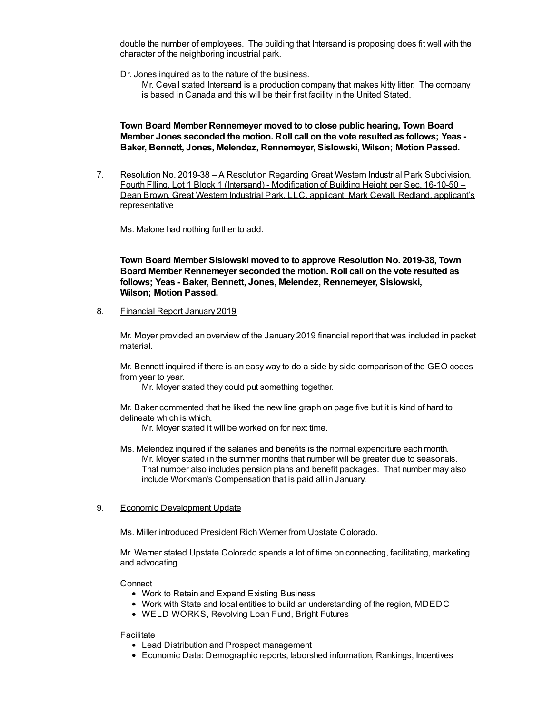double the number of employees. The building that Intersand is proposing does fit well with the character of the neighboring industrial park.

Dr. Jones inquired as to the nature of the business.

Mr. Cevall stated Intersand is a production company that makes kitty litter. The company is based in Canada and this will be their first facility in the United Stated.

**Town Board Member Rennemeyer moved to to close public hearing, Town Board Member Jones seconded the motion. Roll call on the vote resulted as follows; Yeas - Baker, Bennett, Jones, Melendez, Rennemeyer, Sislowski, Wilson; Motion Passed.**

7. Resolution No. 2019-38 – A Resolution Regarding Great Western Industrial Park Subdivision, Fourth FIling, Lot 1 Block 1 (Intersand) - Modification of Building Height per Sec. 16-10-50 – Dean Brown, Great Western Industrial Park, LLC, applicant; Mark Cevall, Redland, applicant's representative

Ms. Malone had nothing further to add.

**Town Board Member Sislowski moved to to approve Resolution No. 2019-38, Town Board Member Rennemeyer seconded the motion. Roll call on the vote resulted as follows; Yeas - Baker, Bennett, Jones, Melendez, Rennemeyer, Sislowski, Wilson; Motion Passed.**

8. Financial Report January 2019

Mr. Moyer provided an overview of the January 2019 financial report that was included in packet material.

Mr. Bennett inquired if there is an easy way to do a side by side comparison of the GEO codes from year to year.

Mr. Moyer stated they could put something together.

Mr. Baker commented that he liked the new line graph on page five but it is kind of hard to delineate which is which.

Mr. Moyer stated it will be worked on for next time.

- Ms. Melendez inquired if the salaries and benefits is the normal expenditure each month. Mr. Moyer stated in the summer months that number will be greater due to seasonals. That number also includes pension plans and benefit packages. That number may also include Workman's Compensation that is paid all in January.
- 9. Economic Development Update

Ms. Miller introduced President Rich Werner from Upstate Colorado.

Mr. Werner stated Upstate Colorado spends a lot of time on connecting, facilitating, marketing and advocating.

Connect

- Work to Retain and Expand Existing Business
- Work with State and local entities to build an understanding of the region, MDEDC
- WELD WORKS, Revolving Loan Fund, Bright Futures

Facilitate

- Lead Distribution and Prospect management
- Economic Data: Demographic reports, laborshed information, Rankings, Incentives